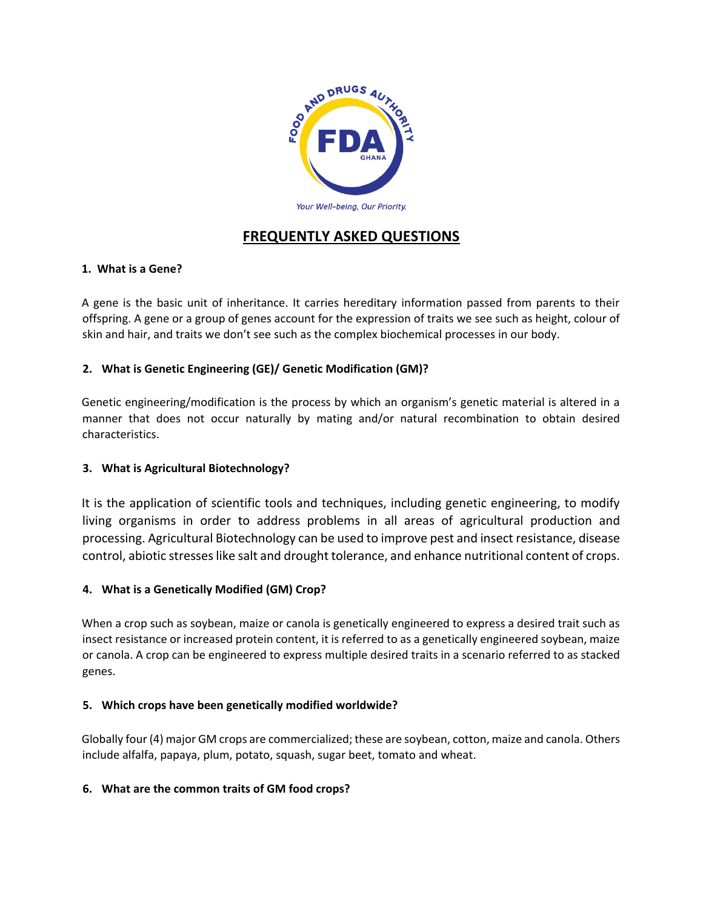

# **FREQUENTLY ASKED QUESTIONS**

# **1. What is a Gene?**

A gene is the basic unit of inheritance. It carries hereditary information passed from parents to their offspring. A gene or a group of genes account for the expression of traits we see such as height, colour of skin and hair, and traits we don't see such as the complex biochemical processes in our body.

# **2. What is Genetic Engineering (GE)/ Genetic Modification (GM)?**

Genetic engineering/modification is the process by which an organism's genetic material is altered in a manner that does not occur naturally by mating and/or natural recombination to obtain desired characteristics.

# **3. What is Agricultural Biotechnology?**

It is the application of scientific tools and techniques, including genetic engineering, to modify living organisms in order to address problems in all areas of agricultural production and processing. Agricultural Biotechnology can be used to improve pest and insect resistance, disease control, abiotic stresses like salt and drought tolerance, and enhance nutritional content of crops.

# **4. What is a Genetically Modified (GM) Crop?**

When a crop such as soybean, maize or canola is genetically engineered to express a desired trait such as insect resistance or increased protein content, it is referred to as a genetically engineered soybean, maize or canola. A crop can be engineered to express multiple desired traits in a scenario referred to as stacked genes.

# **5. Which crops have been genetically modified worldwide?**

Globally four (4) major GM crops are commercialized; these are soybean, cotton, maize and canola. Others include alfalfa, papaya, plum, potato, squash, sugar beet, tomato and wheat.

# **6. What are the common traits of GM food crops?**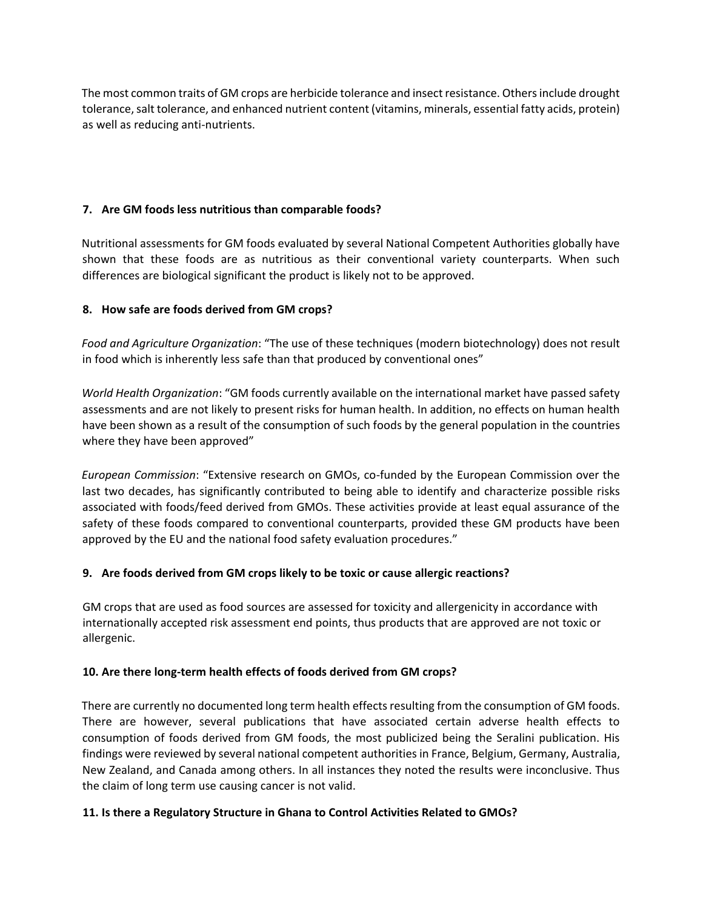The most common traits of GM crops are herbicide tolerance and insect resistance. Others include drought tolerance, salt tolerance, and enhanced nutrient content (vitamins, minerals, essential fatty acids, protein) as well as reducing anti-nutrients.

## **7. Are GM foods less nutritious than comparable foods?**

Nutritional assessments for GM foods evaluated by several National Competent Authorities globally have shown that these foods are as nutritious as their conventional variety counterparts. When such differences are biological significant the product is likely not to be approved.

## **8. How safe are foods derived from GM crops?**

*Food and Agriculture Organization*: "The use of these techniques (modern biotechnology) does not result in food which is inherently less safe than that produced by conventional ones"

*World Health Organization*: "GM foods currently available on the international market have passed safety assessments and are not likely to present risks for human health. In addition, no effects on human health have been shown as a result of the consumption of such foods by the general population in the countries where they have been approved"

*European Commission*: "Extensive research on GMOs, co-funded by the European Commission over the last two decades, has significantly contributed to being able to identify and characterize possible risks associated with foods/feed derived from GMOs. These activities provide at least equal assurance of the safety of these foods compared to conventional counterparts, provided these GM products have been approved by the EU and the national food safety evaluation procedures."

## **9. Are foods derived from GM crops likely to be toxic or cause allergic reactions?**

GM crops that are used as food sources are assessed for toxicity and allergenicity in accordance with internationally accepted risk assessment end points, thus products that are approved are not toxic or allergenic.

## **10. Are there long-term health effects of foods derived from GM crops?**

There are currently no documented long term health effects resulting from the consumption of GM foods. There are however, several publications that have associated certain adverse health effects to consumption of foods derived from GM foods, the most publicized being the Seralini publication. His findings were reviewed by several national competent authorities in France, Belgium, Germany, Australia, New Zealand, and Canada among others. In all instances they noted the results were inconclusive. Thus the claim of long term use causing cancer is not valid.

# **11. Is there a Regulatory Structure in Ghana to Control Activities Related to GMOs?**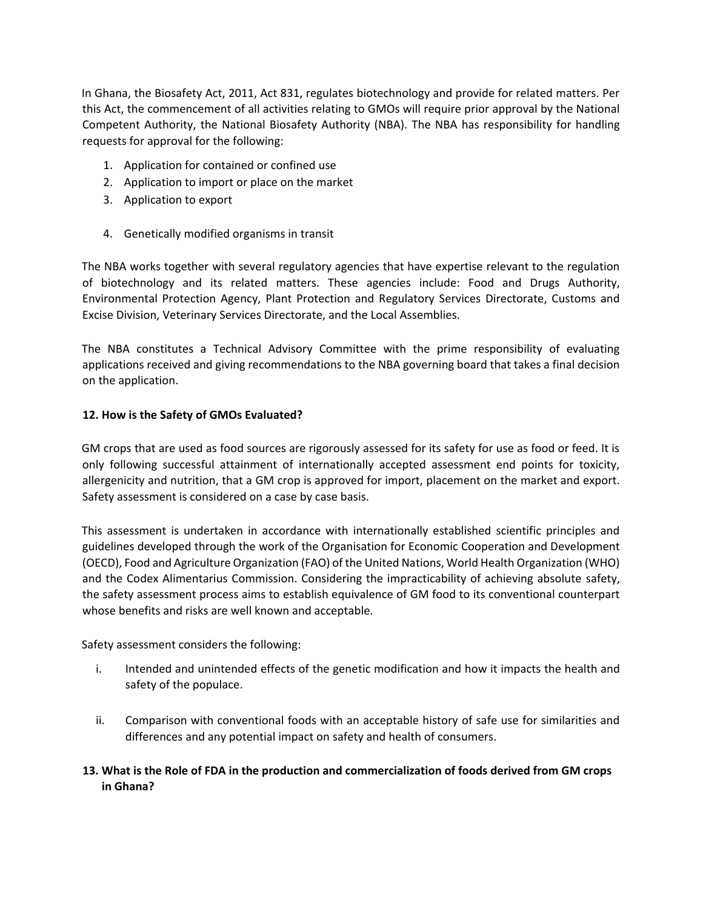In Ghana, the Biosafety Act, 2011, Act 831, regulates biotechnology and provide for related matters. Per this Act, the commencement of all activities relating to GMOs will require prior approval by the National Competent Authority, the National Biosafety Authority (NBA). The NBA has responsibility for handling requests for approval for the following:

- 1. Application for contained or confined use
- 2. Application to import or place on the market
- 3. Application to export
- 4. Genetically modified organisms in transit

The NBA works together with several regulatory agencies that have expertise relevant to the regulation of biotechnology and its related matters. These agencies include: Food and Drugs Authority, Environmental Protection Agency, Plant Protection and Regulatory Services Directorate, Customs and Excise Division, Veterinary Services Directorate, and the Local Assemblies.

The NBA constitutes a Technical Advisory Committee with the prime responsibility of evaluating applications received and giving recommendations to the NBA governing board that takes a final decision on the application.

## **12. How is the Safety of GMOs Evaluated?**

GM crops that are used as food sources are rigorously assessed for its safety for use as food or feed. It is only following successful attainment of internationally accepted assessment end points for toxicity, allergenicity and nutrition, that a GM crop is approved for import, placement on the market and export. Safety assessment is considered on a case by case basis.

This assessment is undertaken in accordance with internationally established scientific principles and guidelines developed through the work of the Organisation for Economic Cooperation and Development (OECD), Food and Agriculture Organization (FAO) of the United Nations, World Health Organization (WHO) and the Codex Alimentarius Commission. Considering the impracticability of achieving absolute safety, the safety assessment process aims to establish equivalence of GM food to its conventional counterpart whose benefits and risks are well known and acceptable.

Safety assessment considers the following:

- i. Intended and unintended effects of the genetic modification and how it impacts the health and safety of the populace.
- ii. Comparison with conventional foods with an acceptable history of safe use for similarities and differences and any potential impact on safety and health of consumers.

# **13. What is the Role of FDA in the production and commercialization of foods derived from GM crops in Ghana?**